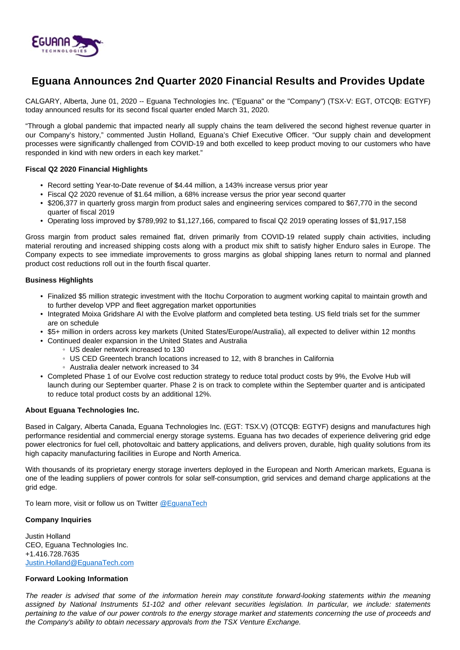

# **Eguana Announces 2nd Quarter 2020 Financial Results and Provides Update**

CALGARY, Alberta, June 01, 2020 -- Eguana Technologies Inc. ("Eguana" or the "Company") (TSX-V: EGT, OTCQB: EGTYF) today announced results for its second fiscal quarter ended March 31, 2020.

"Through a global pandemic that impacted nearly all supply chains the team delivered the second highest revenue quarter in our Company's history," commented Justin Holland, Eguana's Chief Executive Officer. "Our supply chain and development processes were significantly challenged from COVID-19 and both excelled to keep product moving to our customers who have responded in kind with new orders in each key market."

## **Fiscal Q2 2020 Financial Highlights**

- Record setting Year-to-Date revenue of \$4.44 million, a 143% increase versus prior year
- Fiscal Q2 2020 revenue of \$1.64 million, a 68% increase versus the prior year second quarter
- \$206,377 in quarterly gross margin from product sales and engineering services compared to \$67,770 in the second quarter of fiscal 2019
- Operating loss improved by \$789,992 to \$1,127,166, compared to fiscal Q2 2019 operating losses of \$1,917,158

Gross margin from product sales remained flat, driven primarily from COVID-19 related supply chain activities, including material rerouting and increased shipping costs along with a product mix shift to satisfy higher Enduro sales in Europe. The Company expects to see immediate improvements to gross margins as global shipping lanes return to normal and planned product cost reductions roll out in the fourth fiscal quarter.

#### **Business Highlights**

- Finalized \$5 million strategic investment with the Itochu Corporation to augment working capital to maintain growth and to further develop VPP and fleet aggregation market opportunities
- Integrated Moixa Gridshare AI with the Evolve platform and completed beta testing. US field trials set for the summer are on schedule
- \$5+ million in orders across key markets (United States/Europe/Australia), all expected to deliver within 12 months
- Continued dealer expansion in the United States and Australia
	- US dealer network increased to 130
	- US CED Greentech branch locations increased to 12, with 8 branches in California
	- Australia dealer network increased to 34
- Completed Phase 1 of our Evolve cost reduction strategy to reduce total product costs by 9%, the Evolve Hub will launch during our September quarter. Phase 2 is on track to complete within the September quarter and is anticipated to reduce total product costs by an additional 12%.

## **About Eguana Technologies Inc.**

Based in Calgary, Alberta Canada, Eguana Technologies Inc. (EGT: TSX.V) (OTCQB: EGTYF) designs and manufactures high performance residential and commercial energy storage systems. Eguana has two decades of experience delivering grid edge power electronics for fuel cell, photovoltaic and battery applications, and delivers proven, durable, high quality solutions from its high capacity manufacturing facilities in Europe and North America.

With thousands of its proprietary energy storage inverters deployed in the European and North American markets, Eguana is one of the leading suppliers of power controls for solar self-consumption, grid services and demand charge applications at the grid edge.

To learn more, visit or follow us on Twitter [@EguanaTech](https://twitter.com/EguanaTech)

## **Company Inquiries**

Justin Holland CEO, Eguana Technologies Inc. +1.416.728.7635 [Justin.Holland@EguanaTech.com](mailto:Justin.Holland@EguanaTech.com)

## **Forward Looking Information**

The reader is advised that some of the information herein may constitute forward-looking statements within the meaning assigned by National Instruments 51-102 and other relevant securities legislation. In particular, we include: statements pertaining to the value of our power controls to the energy storage market and statements concerning the use of proceeds and the Company's ability to obtain necessary approvals from the TSX Venture Exchange.